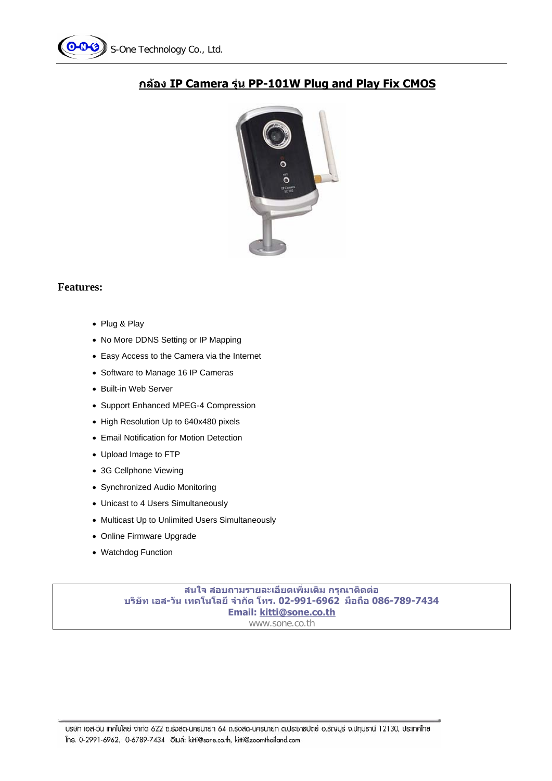



## **กลอง IP Camera รุน PP-101W Plug and Play Fix CMOS**

## **Features:**

- Plug & Play
- No More DDNS Setting or IP Mapping
- Easy Access to the Camera via the Internet
- Software to Manage 16 IP Cameras
- Built-in Web Server
- Support Enhanced MPEG-4 Compression
- High Resolution Up to 640x480 pixels
- Email Notification for Motion Detection
- Upload Image to FTP
- 3G Cellphone Viewing
- Synchronized Audio Monitoring
- Unicast to 4 Users Simultaneously
- Multicast Up to Unlimited Users Simultaneously
- Online Firmware Upgrade
- Watchdog Function

**สนใจ สอบถามรายละเอียดเพิ่มเติม กรณาต ุ ิดตอ บริษทั เอส-วนั เทคโนโลยีจํากดั โทร. 02-991-6962 มือถือ 086-789-7434 Email: kitti@sone.co.th** www.sone.co.th